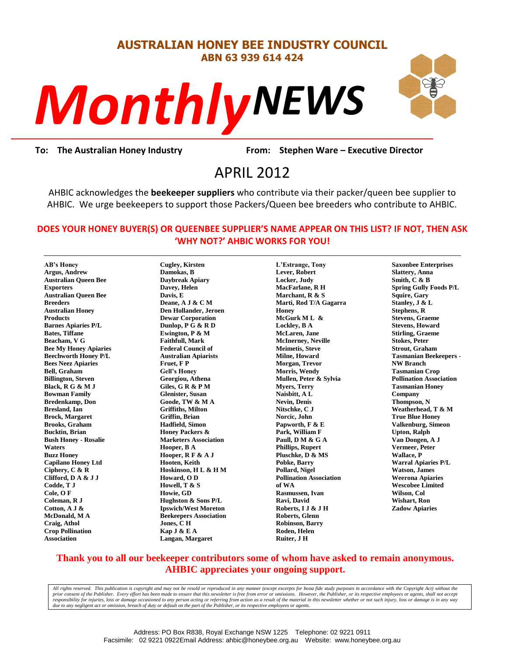#### **AUSTRALIAN HONEY BEE INDUSTRY COUNCIL ABN 63 939 614 424**



**To: The Australian Honey Industry From: Stephen Ware – Executive Director**

# APRIL 2012

AHBIC acknowledges the **beekeeper suppliers** who contribute via their packer/queen bee supplier to AHBIC. We urge beekeepers to support those Packers/Queen bee breeders who contribute to AHBIC.

#### **DOES YOUR HONEY BUYER(S) OR QUEENBEE SUPPLIER'S NAME APPEAR ON THIS LIST? IF NOT, THEN ASK 'WHY NOT?' AHBIC WORKS FOR YOU!**

**AB's Honey Argus, Andrew Australian Queen Bee Exporters Australian Queen Bee Breeders Australian Honey Products Barnes Apiaries P/L Bates, Tiffane Beacham, V G Bee My Honey Apiaries Beechworth Honey P/L Bees Neez Apiaries Bell, Graham Billington, Steven Black, R G & M J Bowman Family Bredenkamp, Don Bresland, Ian Brock, Margaret Brooks, Graham Bucktin, Brian Bush Honey - Rosalie Waters Buzz Honey Capilano Honey Ltd Ciphery, C & R Clifford, D A & J J Codde, T J Cole, O F Coleman, R J Cotton, A J & McDonald, M A Craig, Athol Crop Pollination Association**

**Cugley, Kirsten Damokas, B Daybreak Apiary Davey, Helen Davis, E Deane, A J & C M Den Hollander, Jeroen Dewar Corporation Dunlop, P G & R D Ewington, P & M Faithfull, Mark Federal Council of Australian Apiarists Fruet, F P Gell's Honey Georgiou, Athena Giles, G R & P M Glenister, Susan Goode, TW & M A Griffiths, Milton Griffin, Brian Hadfield, Simon Honey Packers & Marketers Association Hooper, B A Hooper, R F & A J Hooten, Keith Hoskinson, H L & H M Howard, O D Howell, T & S Howie, GD Hughston & Sons P/L Ipswich/West Moreton Beekeepers Association Jones, C H Kap J & E A Langan, Margaret**

**L'Estrange, Tony Lever, Robert Locker, Judy MacFarlane, R H Marchant, R & S Marti, Rod T/A Gagarra Honey McGurk M L & Lockley, B A McLaren, Jane McInerney, Neville Meimetis, Steve Milne, Howard Morgan, Trevor Morris, Wendy Mullen, Peter & Sylvia Myers, Terry Naisbitt, A L Nevin, Denis Nitschke, C J Norcic, John Papworth, F & E Park, William F Paull, D M & G A Phillips, Rupert Pluschke, D & MS Pobke, Barry Pollard, Nigel Pollination Association of WA Rasmussen, Ivan Ravi, David Roberts, I J & J H Roberts, Glenn Robinson, Barry Roden, Helen Ruiter, J H**

**Saxonbee Enterprises Slattery, Anna Smith, C & B Spring Gully Foods P/L Squire, Gary Stanley, J & L Stephens, R Stevens, Graeme Stevens, Howard Stirling, Graeme Stokes, Peter Strout, Graham Tasmanian Beekeepers - NW Branch Tasmanian Crop Pollination Association Tasmanian Honey Company Thompson, N Weatherhead, T & M True Blue Honey Valkenburg, Simeon Upton, Ralph Van Dongen, A J Vermeer, Peter Wallace, P Warral Apiaries P/L Watson, James Weerona Apiaries Wescobee Limited Wilson, Col Wishart, Ron Zadow Apiaries**

#### **Thank you to all our beekeeper contributors some of whom have asked to remain anonymous. AHBIC appreciates your ongoing support.**

*All rights reserved. This publication is copyright and may not be resold or reproduced in any manner (except excerpts for bona fide study purposes in accordance with the Copyright Act) without the* prior consent of the Publisher. Every effort has been made to ensure that this newsletter is free from error or omissions. However, the Publisher, or its respective employees or agents, shall not accept responsibility for injuries, loss or damage occasioned to any person acting or referring from action as a result of the material in this newsletter whether or not such injury, loss or damage is in any way<br>due to any neglig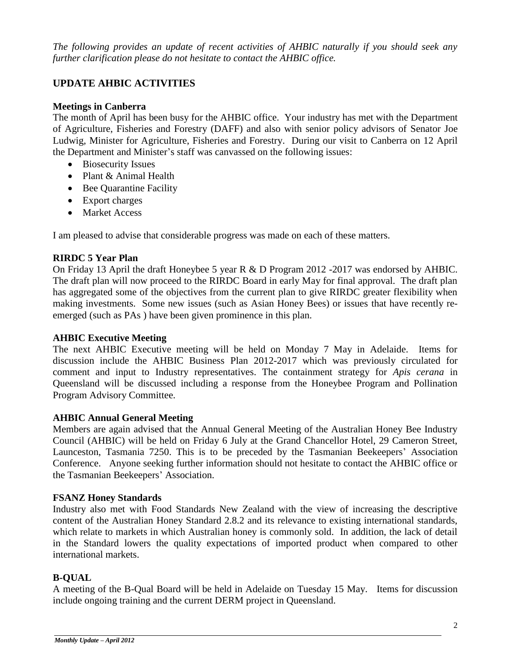*The following provides an update of recent activities of AHBIC naturally if you should seek any further clarification please do not hesitate to contact the AHBIC office.*

## **UPDATE AHBIC ACTIVITIES**

#### **Meetings in Canberra**

The month of April has been busy for the AHBIC office. Your industry has met with the Department of Agriculture, Fisheries and Forestry (DAFF) and also with senior policy advisors of Senator Joe Ludwig, Minister for Agriculture, Fisheries and Forestry. During our visit to Canberra on 12 April the Department and Minister's staff was canvassed on the following issues:

- Biosecurity Issues
- Plant & Animal Health
- Bee Quarantine Facility
- Export charges
- Market Access

I am pleased to advise that considerable progress was made on each of these matters.

#### **RIRDC 5 Year Plan**

On Friday 13 April the draft Honeybee 5 year R & D Program 2012 -2017 was endorsed by AHBIC. The draft plan will now proceed to the RIRDC Board in early May for final approval. The draft plan has aggregated some of the objectives from the current plan to give RIRDC greater flexibility when making investments. Some new issues (such as Asian Honey Bees) or issues that have recently reemerged (such as PAs ) have been given prominence in this plan.

#### **AHBIC Executive Meeting**

The next AHBIC Executive meeting will be held on Monday 7 May in Adelaide. Items for discussion include the AHBIC Business Plan 2012-2017 which was previously circulated for comment and input to Industry representatives. The containment strategy for *Apis cerana* in Queensland will be discussed including a response from the Honeybee Program and Pollination Program Advisory Committee.

#### **AHBIC Annual General Meeting**

Members are again advised that the Annual General Meeting of the Australian Honey Bee Industry Council (AHBIC) will be held on Friday 6 July at the Grand Chancellor Hotel, 29 Cameron Street, Launceston, Tasmania 7250. This is to be preceded by the Tasmanian Beekeepers' Association Conference. Anyone seeking further information should not hesitate to contact the AHBIC office or the Tasmanian Beekeepers' Association.

#### **FSANZ Honey Standards**

Industry also met with Food Standards New Zealand with the view of increasing the descriptive content of the Australian Honey Standard 2.8.2 and its relevance to existing international standards, which relate to markets in which Australian honey is commonly sold. In addition, the lack of detail in the Standard lowers the quality expectations of imported product when compared to other international markets.

#### **B-QUAL**

A meeting of the B-Qual Board will be held in Adelaide on Tuesday 15 May. Items for discussion include ongoing training and the current DERM project in Queensland.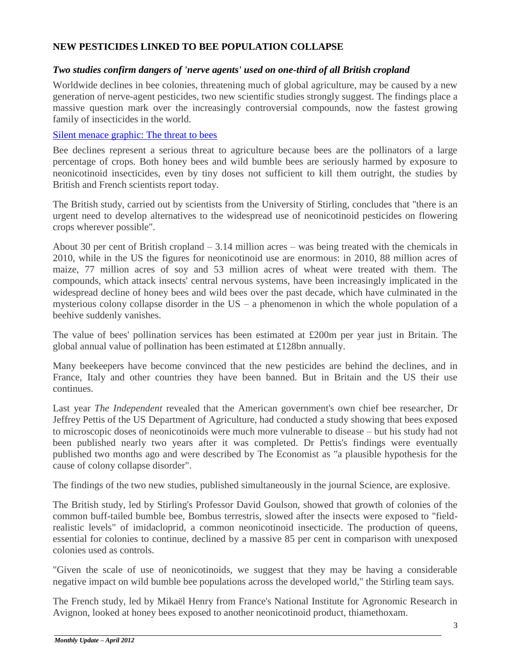#### **NEW PESTICIDES LINKED TO BEE POPULATION COLLAPSE**

#### *Two studies confirm dangers of 'nerve agents' used on one-third of all British cropland*

Worldwide declines in bee colonies, threatening much of global agriculture, may be caused by a new generation of nerve-agent pesticides, two new scientific studies strongly suggest. The findings place a massive question mark over the increasingly controversial compounds, now the fastest growing family of insecticides in the world.

#### [Silent menace graphic: The threat to bees](http://www.scribd.com/fullscreen/87258817?access_key=key-1hpcpdt4l2haqq6htjwt)

Bee declines represent a serious threat to agriculture because bees are the pollinators of a large percentage of crops. Both honey bees and wild bumble bees are seriously harmed by exposure to neonicotinoid insecticides, even by tiny doses not sufficient to kill them outright, the studies by British and French scientists report today.

The British study, carried out by scientists from the University of Stirling, concludes that "there is an urgent need to develop alternatives to the widespread use of neonicotinoid pesticides on flowering crops wherever possible".

About 30 per cent of British cropland – 3.14 million acres – was being treated with the chemicals in 2010, while in the US the figures for neonicotinoid use are enormous: in 2010, 88 million acres of maize, 77 million acres of soy and 53 million acres of wheat were treated with them. The compounds, which attack insects' central nervous systems, have been increasingly implicated in the widespread decline of honey bees and wild bees over the past decade, which have culminated in the mysterious colony collapse disorder in the US – a phenomenon in which the whole population of a beehive suddenly vanishes.

The value of bees' pollination services has been estimated at £200m per year just in Britain. The global annual value of pollination has been estimated at £128bn annually.

Many beekeepers have become convinced that the new pesticides are behind the declines, and in France, Italy and other countries they have been banned. But in Britain and the US their use continues.

Last year *The Independent* revealed that the American government's own chief bee researcher, Dr Jeffrey Pettis of the US Department of Agriculture, had conducted a study showing that bees exposed to microscopic doses of neonicotinoids were much more vulnerable to disease – but his study had not been published nearly two years after it was completed. Dr Pettis's findings were eventually published two months ago and were described by The Economist as "a plausible hypothesis for the cause of colony collapse disorder".

The findings of the two new studies, published simultaneously in the journal Science, are explosive.

The British study, led by Stirling's Professor David Goulson, showed that growth of colonies of the common buff-tailed bumble bee, Bombus terrestris, slowed after the insects were exposed to "fieldrealistic levels" of imidacloprid, a common neonicotinoid insecticide. The production of queens, essential for colonies to continue, declined by a massive 85 per cent in comparison with unexposed colonies used as controls.

"Given the scale of use of neonicotinoids, we suggest that they may be having a considerable negative impact on wild bumble bee populations across the developed world," the Stirling team says.

The French study, led by Mikaël Henry from France's National Institute for Agronomic Research in Avignon, looked at honey bees exposed to another neonicotinoid product, thiamethoxam.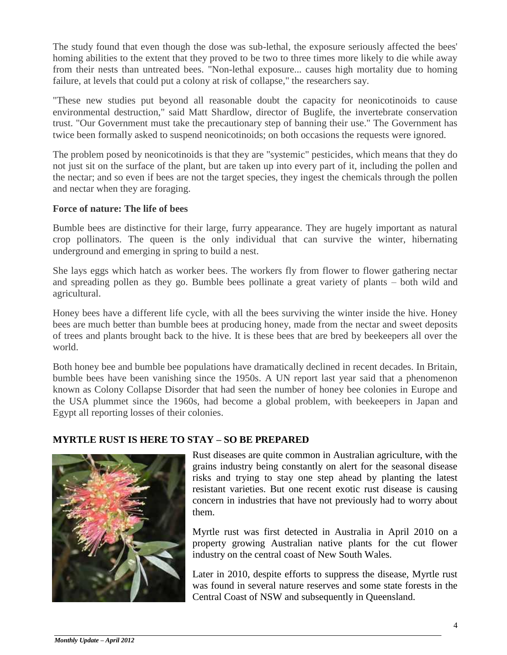The study found that even though the dose was sub-lethal, the exposure seriously affected the bees' homing abilities to the extent that they proved to be two to three times more likely to die while away from their nests than untreated bees. "Non-lethal exposure... causes high mortality due to homing failure, at levels that could put a colony at risk of collapse," the researchers say.

"These new studies put beyond all reasonable doubt the capacity for neonicotinoids to cause environmental destruction," said Matt Shardlow, director of Buglife, the invertebrate conservation trust. "Our Government must take the precautionary step of banning their use." The Government has twice been formally asked to suspend neonicotinoids; on both occasions the requests were ignored.

The problem posed by neonicotinoids is that they are "systemic" pesticides, which means that they do not just sit on the surface of the plant, but are taken up into every part of it, including the pollen and the nectar; and so even if bees are not the target species, they ingest the chemicals through the pollen and nectar when they are foraging.

#### **Force of nature: The life of bees**

Bumble bees are distinctive for their large, furry appearance. They are hugely important as natural crop pollinators. The queen is the only individual that can survive the winter, hibernating underground and emerging in spring to build a nest.

She lays eggs which hatch as worker bees. The workers fly from flower to flower gathering nectar and spreading pollen as they go. Bumble bees pollinate a great variety of plants – both wild and agricultural.

Honey bees have a different life cycle, with all the bees surviving the winter inside the hive. Honey bees are much better than bumble bees at producing honey, made from the nectar and sweet deposits of trees and plants brought back to the hive. It is these bees that are bred by beekeepers all over the world.

Both honey bee and bumble bee populations have dramatically declined in recent decades. In Britain, bumble bees have been vanishing since the 1950s. A UN report last year said that a phenomenon known as Colony Collapse Disorder that had seen the number of honey bee colonies in Europe and the USA plummet since the 1960s, had become a global problem, with beekeepers in Japan and Egypt all reporting losses of their colonies.

## **MYRTLE RUST IS HERE TO STAY – SO BE PREPARED**



Rust diseases are quite common in Australian agriculture, with the grains industry being constantly on alert for the seasonal disease risks and trying to stay one step ahead by planting the latest resistant varieties. But one recent exotic rust disease is causing concern in industries that have not previously had to worry about them.

Myrtle rust was first detected in Australia in April 2010 on a property growing Australian native plants for the cut flower industry on the central coast of New South Wales.

Later in 2010, despite efforts to suppress the disease, Myrtle rust was found in several nature reserves and some state forests in the Central Coast of NSW and subsequently in Queensland.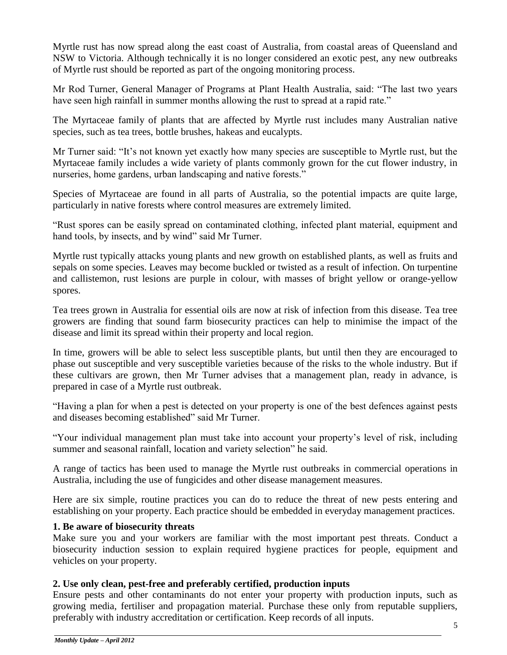Myrtle rust has now spread along the east coast of Australia, from coastal areas of Queensland and NSW to Victoria. Although technically it is no longer considered an exotic pest, any new outbreaks of Myrtle rust should be reported as part of the ongoing monitoring process.

Mr Rod Turner, General Manager of Programs at Plant Health Australia, said: "The last two years have seen high rainfall in summer months allowing the rust to spread at a rapid rate."

The Myrtaceae family of plants that are affected by Myrtle rust includes many Australian native species, such as tea trees, bottle brushes, hakeas and eucalypts.

Mr Turner said: "It's not known yet exactly how many species are susceptible to Myrtle rust, but the Myrtaceae family includes a wide variety of plants commonly grown for the cut flower industry, in nurseries, home gardens, urban landscaping and native forests."

Species of Myrtaceae are found in all parts of Australia, so the potential impacts are quite large, particularly in native forests where control measures are extremely limited.

"Rust spores can be easily spread on contaminated clothing, infected plant material, equipment and hand tools, by insects, and by wind" said Mr Turner.

Myrtle rust typically attacks young plants and new growth on established plants, as well as fruits and sepals on some species. Leaves may become buckled or twisted as a result of infection. On turpentine and callistemon, rust lesions are purple in colour, with masses of bright yellow or orange-yellow spores.

Tea trees grown in Australia for essential oils are now at risk of infection from this disease. Tea tree growers are finding that sound farm biosecurity practices can help to minimise the impact of the disease and limit its spread within their property and local region.

In time, growers will be able to select less susceptible plants, but until then they are encouraged to phase out susceptible and very susceptible varieties because of the risks to the whole industry. But if these cultivars are grown, then Mr Turner advises that a management plan, ready in advance, is prepared in case of a Myrtle rust outbreak.

"Having a plan for when a pest is detected on your property is one of the best defences against pests and diseases becoming established" said Mr Turner.

"Your individual management plan must take into account your property's level of risk, including summer and seasonal rainfall, location and variety selection" he said.

A range of tactics has been used to manage the Myrtle rust outbreaks in commercial operations in Australia, including the use of fungicides and other disease management measures.

Here are six simple, routine practices you can do to reduce the threat of new pests entering and establishing on your property. Each practice should be embedded in everyday management practices.

#### **1. Be aware of biosecurity threats**

Make sure you and your workers are familiar with the most important pest threats. Conduct a biosecurity induction session to explain required hygiene practices for people, equipment and vehicles on your property.

#### **2. Use only clean, pest-free and preferably certified, production inputs**

Ensure pests and other contaminants do not enter your property with production inputs, such as growing media, fertiliser and propagation material. Purchase these only from reputable suppliers, preferably with industry accreditation or certification. Keep records of all inputs.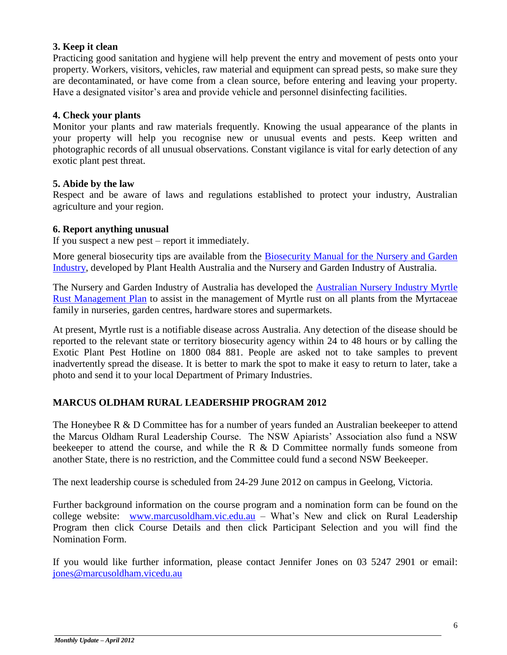#### **3. Keep it clean**

Practicing good sanitation and hygiene will help prevent the entry and movement of pests onto your property. Workers, visitors, vehicles, raw material and equipment can spread pests, so make sure they are decontaminated, or have come from a clean source, before entering and leaving your property. Have a designated visitor's area and provide vehicle and personnel disinfecting facilities.

#### **4. Check your plants**

Monitor your plants and raw materials frequently. Knowing the usual appearance of the plants in your property will help you recognise new or unusual events and pests. Keep written and photographic records of all unusual observations. Constant vigilance is vital for early detection of any exotic plant pest threat.

#### **5. Abide by the law**

Respect and be aware of laws and regulations established to protect your industry, Australian agriculture and your region.

#### **6. Report anything unusual**

If you suspect a new pest – report it immediately.

More general biosecurity tips are available from the **Biosecurity Manual for the Nursery and Garden** [Industry,](http://www.phau.com.au/index.cfm?objectid=BC215319-F65C-A86A-6D73F24DF821D484) developed by Plant Health Australia and the Nursery and Garden Industry of Australia.

The Nursery and Garden Industry of Australia has developed the [Australian Nursery Industry Myrtle](http://www.ngia.com.au/Story?Action=View&Story_id=2026)  [Rust Management Plan](http://www.ngia.com.au/Story?Action=View&Story_id=2026) to assist in the management of Myrtle rust on all plants from the Myrtaceae family in nurseries, garden centres, hardware stores and supermarkets.

At present, Myrtle rust is a notifiable disease across Australia. Any detection of the disease should be reported to the relevant state or territory biosecurity agency within 24 to 48 hours or by calling the Exotic Plant Pest Hotline on 1800 084 881. People are asked not to take samples to prevent inadvertently spread the disease. It is better to mark the spot to make it easy to return to later, take a photo and send it to your local Department of Primary Industries.

#### **MARCUS OLDHAM RURAL LEADERSHIP PROGRAM 2012**

The Honeybee R & D Committee has for a number of years funded an Australian beekeeper to attend the Marcus Oldham Rural Leadership Course. The NSW Apiarists' Association also fund a NSW beekeeper to attend the course, and while the R & D Committee normally funds someone from another State, there is no restriction, and the Committee could fund a second NSW Beekeeper.

The next leadership course is scheduled from 24-29 June 2012 on campus in Geelong, Victoria.

Further background information on the course program and a nomination form can be found on the college website: [www.marcusoldham.vic.edu.au](http://www.marcusoldham.vic.edu.au/) – What's New and click on Rural Leadership Program then click Course Details and then click Participant Selection and you will find the Nomination Form.

If you would like further information, please contact Jennifer Jones on 03 5247 2901 or email: [jones@marcusoldham.vicedu.au](mailto:jones@marcusoldham.vicedu.au)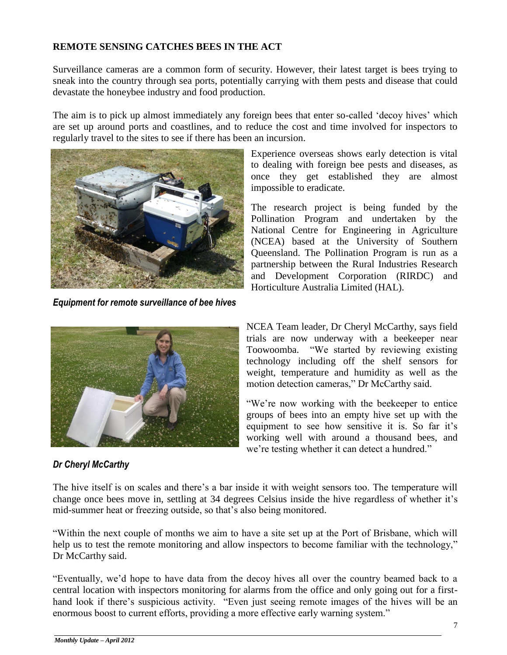#### **REMOTE SENSING CATCHES BEES IN THE ACT**

Surveillance cameras are a common form of security. However, their latest target is bees trying to sneak into the country through sea ports, potentially carrying with them pests and disease that could devastate the honeybee industry and food production.

The aim is to pick up almost immediately any foreign bees that enter so-called 'decoy hives' which are set up around ports and coastlines, and to reduce the cost and time involved for inspectors to regularly travel to the sites to see if there has been an incursion.



*Equipment for remote surveillance of bee hives*

Experience overseas shows early detection is vital to dealing with foreign bee pests and diseases, as once they get established they are almost impossible to eradicate.

The research project is being funded by the Pollination Program and undertaken by the National Centre for Engineering in Agriculture (NCEA) based at the University of Southern Queensland. The Pollination Program is run as a partnership between the Rural Industries Research and Development Corporation (RIRDC) and Horticulture Australia Limited (HAL).



## *Dr Cheryl McCarthy*

NCEA Team leader, Dr Cheryl McCarthy, says field trials are now underway with a beekeeper near Toowoomba. "We started by reviewing existing technology including off the shelf sensors for weight, temperature and humidity as well as the motion detection cameras," Dr McCarthy said.

"We're now working with the beekeeper to entice groups of bees into an empty hive set up with the equipment to see how sensitive it is. So far it's working well with around a thousand bees, and we're testing whether it can detect a hundred."

The hive itself is on scales and there's a bar inside it with weight sensors too. The temperature will change once bees move in, settling at 34 degrees Celsius inside the hive regardless of whether it's mid-summer heat or freezing outside, so that's also being monitored.

"Within the next couple of months we aim to have a site set up at the Port of Brisbane, which will help us to test the remote monitoring and allow inspectors to become familiar with the technology," Dr McCarthy said.

"Eventually, we'd hope to have data from the decoy hives all over the country beamed back to a central location with inspectors monitoring for alarms from the office and only going out for a firsthand look if there's suspicious activity. "Even just seeing remote images of the hives will be an enormous boost to current efforts, providing a more effective early warning system."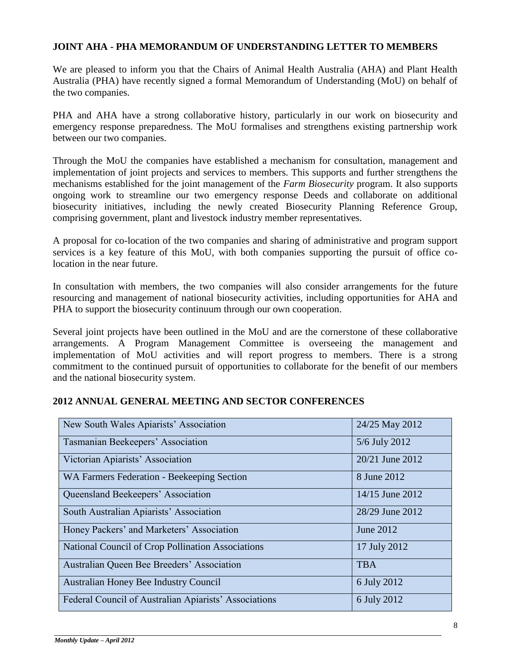#### **JOINT AHA - PHA MEMORANDUM OF UNDERSTANDING LETTER TO MEMBERS**

We are pleased to inform you that the Chairs of Animal Health Australia (AHA) and Plant Health Australia (PHA) have recently signed a formal Memorandum of Understanding (MoU) on behalf of the two companies.

PHA and AHA have a strong collaborative history, particularly in our work on biosecurity and emergency response preparedness. The MoU formalises and strengthens existing partnership work between our two companies.

Through the MoU the companies have established a mechanism for consultation, management and implementation of joint projects and services to members. This supports and further strengthens the mechanisms established for the joint management of the *Farm Biosecurity* program. It also supports ongoing work to streamline our two emergency response Deeds and collaborate on additional biosecurity initiatives, including the newly created Biosecurity Planning Reference Group, comprising government, plant and livestock industry member representatives.

A proposal for co-location of the two companies and sharing of administrative and program support services is a key feature of this MoU, with both companies supporting the pursuit of office colocation in the near future.

In consultation with members, the two companies will also consider arrangements for the future resourcing and management of national biosecurity activities, including opportunities for AHA and PHA to support the biosecurity continuum through our own cooperation.

Several joint projects have been outlined in the MoU and are the cornerstone of these collaborative arrangements. A Program Management Committee is overseeing the management and implementation of MoU activities and will report progress to members. There is a strong commitment to the continued pursuit of opportunities to collaborate for the benefit of our members and the national biosecurity system.

| New South Wales Apiarists' Association                | 24/25 May 2012  |
|-------------------------------------------------------|-----------------|
| Tasmanian Beekeepers' Association                     | 5/6 July 2012   |
| Victorian Apiarists' Association                      | 20/21 June 2012 |
| WA Farmers Federation - Beekeeping Section            | 8 June 2012     |
| Queensland Beekeepers' Association                    | 14/15 June 2012 |
| South Australian Apiarists' Association               | 28/29 June 2012 |
| Honey Packers' and Marketers' Association             | June 2012       |
| National Council of Crop Pollination Associations     | 17 July 2012    |
| Australian Queen Bee Breeders' Association            | <b>TBA</b>      |
| Australian Honey Bee Industry Council                 | 6 July 2012     |
| Federal Council of Australian Apiarists' Associations | 6 July 2012     |

#### **2012 ANNUAL GENERAL MEETING AND SECTOR CONFERENCES**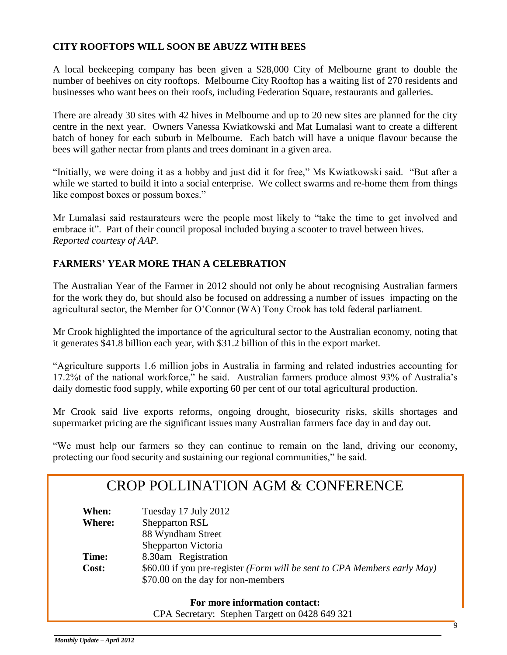#### **CITY ROOFTOPS WILL SOON BE ABUZZ WITH BEES**

A local beekeeping company has been given a \$28,000 City of Melbourne grant to double the number of beehives on city rooftops. Melbourne City Rooftop has a waiting list of 270 residents and businesses who want bees on their roofs, including Federation Square, restaurants and galleries.

There are already 30 sites with 42 hives in Melbourne and up to 20 new sites are planned for the city centre in the next year. Owners Vanessa Kwiatkowski and Mat Lumalasi want to create a different batch of honey for each suburb in Melbourne. Each batch will have a unique flavour because the bees will gather nectar from plants and trees dominant in a given area.

"Initially, we were doing it as a hobby and just did it for free," Ms Kwiatkowski said. "But after a while we started to build it into a social enterprise. We collect swarms and re-home them from things like compost boxes or possum boxes."

Mr Lumalasi said restaurateurs were the people most likely to "take the time to get involved and embrace it". Part of their council proposal included buying a scooter to travel between hives. *Reported courtesy of AAP.*

#### **FARMERS' YEAR MORE THAN A CELEBRATION**

The Australian Year of the Farmer in 2012 should not only be about recognising Australian farmers for the work they do, but should also be focused on addressing a number of issues impacting on the agricultural sector, the Member for O'Connor (WA) Tony Crook has told federal parliament.

Mr Crook highlighted the importance of the agricultural sector to the Australian economy, noting that it generates \$41.8 billion each year, with \$31.2 billion of this in the export market.

"Agriculture supports 1.6 million jobs in Australia in farming and related industries accounting for 17.2%t of the national workforce," he said. Australian farmers produce almost 93% of Australia's daily domestic food supply, while exporting 60 per cent of our total agricultural production.

Mr Crook said live exports reforms, ongoing drought, biosecurity risks, skills shortages and supermarket pricing are the significant issues many Australian farmers face day in and day out.

"We must help our farmers so they can continue to remain on the land, driving our economy, protecting our food security and sustaining our regional communities," he said.

## CROP POLLINATION AGM & CONFERENCE

**When:** Tuesday 17 July 2012 **Where:** Shepparton RSL 88 Wyndham Street Shepparton Victoria **Time:** 8.30am Registration **Cost:** \$60.00 if you pre-register *(Form will be sent to CPA Members early May)* \$70.00 on the day for non-members

#### **For more information contact:** CPA Secretary: Stephen Targett on 0428 649 321

٦q